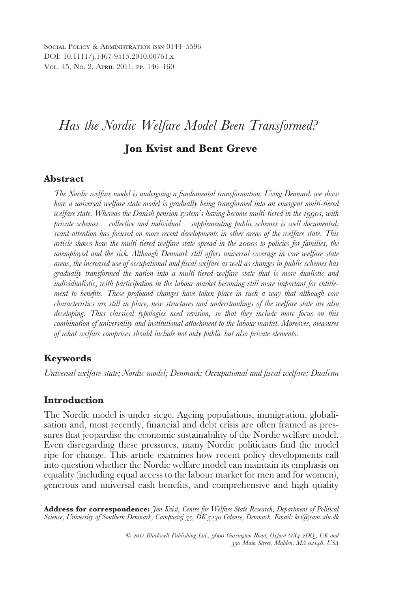# *Has the Nordic Welfare Model Been Transformed?* **Jon Kvist and Bent Greve**

# **Abstract**

*The Nordic welfare model is undergoing a fundamental transformation. Using Denmark we show how a universal welfare state model is gradually being transformed into an emergent multi-tiered welfare state. Whereas the Danish pension system's having become multi-tiered in the 1990s, with private schemes – collective and individual – supplementing public schemes is well documented, scant attention has focused on more recent developments in other areas of the welfare state. This article shows how the multi-tiered welfare state spread in the 2000s to policies for families, the unemployed and the sick. Although Denmark still offers universal coverage in core welfare state areas, the increased use of occupational and fiscal welfare as well as changes in public schemes has gradually transformed the nation into a multi-tiered welfare state that is more dualistic and individualistic, with participation in the labour market becoming still more important for entitlement to benefits. These profound changes have taken place in such a way that although core characteristics are still in place, new structures and understandings of the welfare state are also developing. Thus classical typologies need revision, so that they include more focus on this combination of universality and institutional attachment to the labour market. Moreover, measures of what welfare comprises should include not only public but also private elements.*

# **Keywords**

*Universal welfare state; Nordic model; Denmark; Occupational and fiscal welfare; Dualism*

# **Introduction**

The Nordic model is under siege. Ageing populations, immigration, globalisation and, most recently, financial and debt crisis are often framed as pressures that jeopardise the economic sustainability of the Nordic welfare model. Even disregarding these pressures, many Nordic politicians find the model ripe for change. This article examines how recent policy developments call into question whether the Nordic welfare model can maintain its emphasis on equality (including equal access to the labour market for men and for women), generous and universal cash benefits, and comprehensive and high quality

**Address for correspondence:** *Jon Kvist, Centre for Welfare State Research, Department of Political Science, University of Southern Denmark, Campusvej 55, DK 5230 Odense, Denmark. Email: kvi@sam.sdu.dk*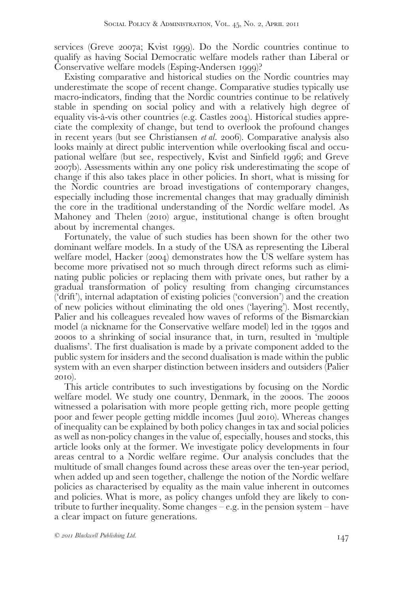services (Greve 2007a; Kvist 1999). Do the Nordic countries continue to qualify as having Social Democratic welfare models rather than Liberal or Conservative welfare models (Esping-Andersen 1999)?

Existing comparative and historical studies on the Nordic countries may underestimate the scope of recent change. Comparative studies typically use macro-indicators, finding that the Nordic countries continue to be relatively stable in spending on social policy and with a relatively high degree of equality vis-à-vis other countries (e.g. Castles 2004). Historical studies appreciate the complexity of change, but tend to overlook the profound changes in recent years (but see Christiansen *et al*. 2006). Comparative analysis also looks mainly at direct public intervention while overlooking fiscal and occupational welfare (but see, respectively, Kvist and Sinfield 1996; and Greve 2007b). Assessments within any one policy risk underestimating the scope of change if this also takes place in other policies. In short, what is missing for the Nordic countries are broad investigations of contemporary changes, especially including those incremental changes that may gradually diminish the core in the traditional understanding of the Nordic welfare model. As Mahoney and Thelen (2010) argue, institutional change is often brought about by incremental changes.

Fortunately, the value of such studies has been shown for the other two dominant welfare models. In a study of the USA as representing the Liberal welfare model, Hacker (2004) demonstrates how the US welfare system has become more privatised not so much through direct reforms such as eliminating public policies or replacing them with private ones, but rather by a gradual transformation of policy resulting from changing circumstances ('drift'), internal adaptation of existing policies ('conversion') and the creation of new policies without eliminating the old ones ('layering'). Most recently, Palier and his colleagues revealed how waves of reforms of the Bismarckian model (a nickname for the Conservative welfare model) led in the 1990s and 2000s to a shrinking of social insurance that, in turn, resulted in 'multiple dualisms'. The first dualisation is made by a private component added to the public system for insiders and the second dualisation is made within the public system with an even sharper distinction between insiders and outsiders (Palier 2010).

This article contributes to such investigations by focusing on the Nordic welfare model. We study one country, Denmark, in the 2000s. The 2000s witnessed a polarisation with more people getting rich, more people getting poor and fewer people getting middle incomes (Juul 2010). Whereas changes of inequality can be explained by both policy changes in tax and social policies as well as non-policy changes in the value of, especially, houses and stocks, this article looks only at the former. We investigate policy developments in four areas central to a Nordic welfare regime. Our analysis concludes that the multitude of small changes found across these areas over the ten-year period, when added up and seen together, challenge the notion of the Nordic welfare policies as characterised by equality as the main value inherent in outcomes and policies. What is more, as policy changes unfold they are likely to contribute to further inequality. Some changes – e.g. in the pension system – have a clear impact on future generations.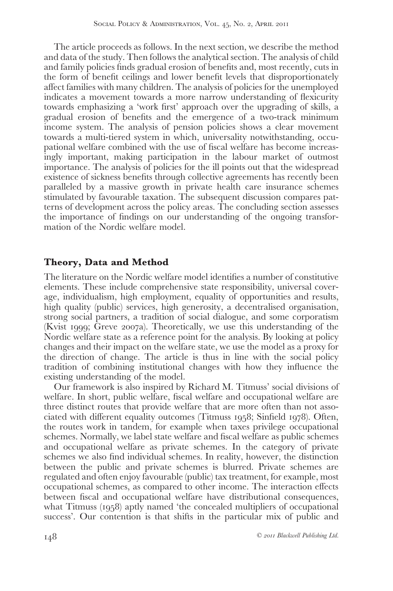The article proceeds as follows. In the next section, we describe the method and data of the study. Then follows the analytical section. The analysis of child and family policies finds gradual erosion of benefits and, most recently, cuts in the form of benefit ceilings and lower benefit levels that disproportionately affect families with many children. The analysis of policies for the unemployed indicates a movement towards a more narrow understanding of flexicurity towards emphasizing a 'work first' approach over the upgrading of skills, a gradual erosion of benefits and the emergence of a two-track minimum income system. The analysis of pension policies shows a clear movement towards a multi-tiered system in which, universality notwithstanding, occupational welfare combined with the use of fiscal welfare has become increasingly important, making participation in the labour market of outmost importance. The analysis of policies for the ill points out that the widespread existence of sickness benefits through collective agreements has recently been paralleled by a massive growth in private health care insurance schemes stimulated by favourable taxation. The subsequent discussion compares patterns of development across the policy areas. The concluding section assesses the importance of findings on our understanding of the ongoing transformation of the Nordic welfare model.

#### **Theory, Data and Method**

The literature on the Nordic welfare model identifies a number of constitutive elements. These include comprehensive state responsibility, universal coverage, individualism, high employment, equality of opportunities and results, high quality (public) services, high generosity, a decentralised organisation, strong social partners, a tradition of social dialogue, and some corporatism (Kvist 1999; Greve 2007a). Theoretically, we use this understanding of the Nordic welfare state as a reference point for the analysis. By looking at policy changes and their impact on the welfare state, we use the model as a proxy for the direction of change. The article is thus in line with the social policy tradition of combining institutional changes with how they influence the existing understanding of the model.

Our framework is also inspired by Richard M. Titmuss' social divisions of welfare. In short, public welfare, fiscal welfare and occupational welfare are three distinct routes that provide welfare that are more often than not associated with different equality outcomes (Titmuss 1958; Sinfield 1978). Often, the routes work in tandem, for example when taxes privilege occupational schemes. Normally, we label state welfare and fiscal welfare as public schemes and occupational welfare as private schemes. In the category of private schemes we also find individual schemes. In reality, however, the distinction between the public and private schemes is blurred. Private schemes are regulated and often enjoy favourable (public) tax treatment, for example, most occupational schemes, as compared to other income. The interaction effects between fiscal and occupational welfare have distributional consequences, what Titmuss (1958) aptly named 'the concealed multipliers of occupational success'. Our contention is that shifts in the particular mix of public and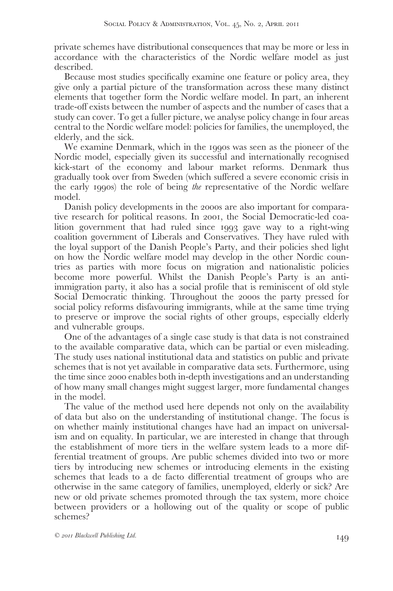private schemes have distributional consequences that may be more or less in accordance with the characteristics of the Nordic welfare model as just described.

Because most studies specifically examine one feature or policy area, they give only a partial picture of the transformation across these many distinct elements that together form the Nordic welfare model. In part, an inherent trade-off exists between the number of aspects and the number of cases that a study can cover. To get a fuller picture, we analyse policy change in four areas central to the Nordic welfare model: policies for families, the unemployed, the elderly, and the sick.

We examine Denmark, which in the 1990s was seen as the pioneer of the Nordic model, especially given its successful and internationally recognised kick-start of the economy and labour market reforms. Denmark thus gradually took over from Sweden (which suffered a severe economic crisis in the early 1990s) the role of being *the* representative of the Nordic welfare model.

Danish policy developments in the 2000s are also important for comparative research for political reasons. In 2001, the Social Democratic-led coalition government that had ruled since 1993 gave way to a right-wing coalition government of Liberals and Conservatives. They have ruled with the loyal support of the Danish People's Party, and their policies shed light on how the Nordic welfare model may develop in the other Nordic countries as parties with more focus on migration and nationalistic policies become more powerful. Whilst the Danish People's Party is an antiimmigration party, it also has a social profile that is reminiscent of old style Social Democratic thinking. Throughout the 2000s the party pressed for social policy reforms disfavouring immigrants, while at the same time trying to preserve or improve the social rights of other groups, especially elderly and vulnerable groups.

One of the advantages of a single case study is that data is not constrained to the available comparative data, which can be partial or even misleading. The study uses national institutional data and statistics on public and private schemes that is not yet available in comparative data sets. Furthermore, using the time since 2000 enables both in-depth investigations and an understanding of how many small changes might suggest larger, more fundamental changes in the model.

The value of the method used here depends not only on the availability of data but also on the understanding of institutional change. The focus is on whether mainly institutional changes have had an impact on universalism and on equality. In particular, we are interested in change that through the establishment of more tiers in the welfare system leads to a more differential treatment of groups. Are public schemes divided into two or more tiers by introducing new schemes or introducing elements in the existing schemes that leads to a de facto differential treatment of groups who are otherwise in the same category of families, unemployed, elderly or sick? Are new or old private schemes promoted through the tax system, more choice between providers or a hollowing out of the quality or scope of public schemes?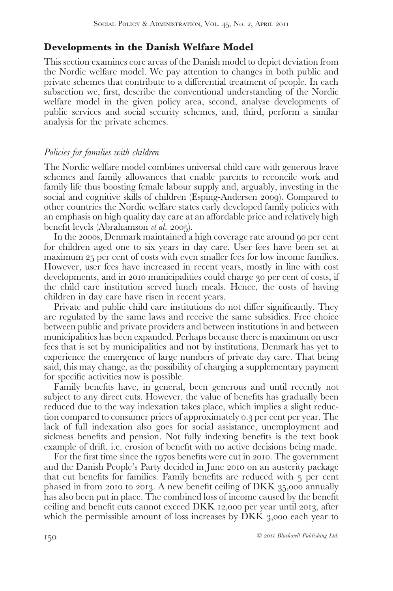### **Developments in the Danish Welfare Model**

This section examines core areas of the Danish model to depict deviation from the Nordic welfare model. We pay attention to changes in both public and private schemes that contribute to a differential treatment of people. In each subsection we, first, describe the conventional understanding of the Nordic welfare model in the given policy area, second, analyse developments of public services and social security schemes, and, third, perform a similar analysis for the private schemes.

#### *Policies for families with children*

The Nordic welfare model combines universal child care with generous leave schemes and family allowances that enable parents to reconcile work and family life thus boosting female labour supply and, arguably, investing in the social and cognitive skills of children (Esping-Andersen 2009). Compared to other countries the Nordic welfare states early developed family policies with an emphasis on high quality day care at an affordable price and relatively high benefit levels (Abrahamson *et al*. 2005).

In the 2000s, Denmark maintained a high coverage rate around 90 per cent for children aged one to six years in day care. User fees have been set at maximum 25 per cent of costs with even smaller fees for low income families. However, user fees have increased in recent years, mostly in line with cost developments, and in 2010 municipalities could charge 30 per cent of costs, if the child care institution served lunch meals. Hence, the costs of having children in day care have risen in recent years.

Private and public child care institutions do not differ significantly. They are regulated by the same laws and receive the same subsidies. Free choice between public and private providers and between institutions in and between municipalities has been expanded. Perhaps because there is maximum on user fees that is set by municipalities and not by institutions, Denmark has yet to experience the emergence of large numbers of private day care. That being said, this may change, as the possibility of charging a supplementary payment for specific activities now is possible.

Family benefits have, in general, been generous and until recently not subject to any direct cuts. However, the value of benefits has gradually been reduced due to the way indexation takes place, which implies a slight reduction compared to consumer prices of approximately 0.3 per cent per year. The lack of full indexation also goes for social assistance, unemployment and sickness benefits and pension. Not fully indexing benefits is the text book example of drift, i.e. erosion of benefit with no active decisions being made.

For the first time since the 1970s benefits were cut in 2010. The government and the Danish People's Party decided in June 2010 on an austerity package that cut benefits for families. Family benefits are reduced with 5 per cent phased in from 2010 to 2013. A new benefit ceiling of DKK 35,000 annually has also been put in place. The combined loss of income caused by the benefit ceiling and benefit cuts cannot exceed DKK 12,000 per year until 2013, after which the permissible amount of loss increases by DKK 3,000 each year to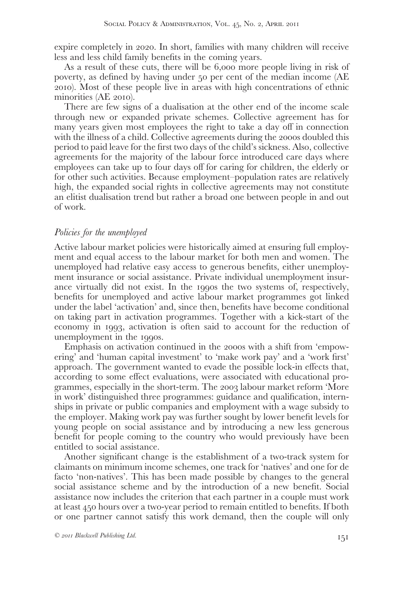expire completely in 2020. In short, families with many children will receive less and less child family benefits in the coming years.

As a result of these cuts, there will be 6,000 more people living in risk of poverty, as defined by having under 50 per cent of the median income (AE 2010). Most of these people live in areas with high concentrations of ethnic minorities (AE 2010).

There are few signs of a dualisation at the other end of the income scale through new or expanded private schemes. Collective agreement has for many years given most employees the right to take a day off in connection with the illness of a child. Collective agreements during the 2000s doubled this period to paid leave for the first two days of the child's sickness. Also, collective agreements for the majority of the labour force introduced care days where employees can take up to four days off for caring for children, the elderly or for other such activities. Because employment–population rates are relatively high, the expanded social rights in collective agreements may not constitute an elitist dualisation trend but rather a broad one between people in and out of work.

#### *Policies for the unemployed*

Active labour market policies were historically aimed at ensuring full employment and equal access to the labour market for both men and women. The unemployed had relative easy access to generous benefits, either unemployment insurance or social assistance. Private individual unemployment insurance virtually did not exist. In the 1990s the two systems of, respectively, benefits for unemployed and active labour market programmes got linked under the label 'activation' and, since then, benefits have become conditional on taking part in activation programmes. Together with a kick-start of the economy in 1993, activation is often said to account for the reduction of unemployment in the 1990s.

Emphasis on activation continued in the 2000s with a shift from 'empowering' and 'human capital investment' to 'make work pay' and a 'work first' approach. The government wanted to evade the possible lock-in effects that, according to some effect evaluations, were associated with educational programmes, especially in the short-term. The 2003 labour market reform 'More in work' distinguished three programmes: guidance and qualification, internships in private or public companies and employment with a wage subsidy to the employer. Making work pay was further sought by lower benefit levels for young people on social assistance and by introducing a new less generous benefit for people coming to the country who would previously have been entitled to social assistance.

Another significant change is the establishment of a two-track system for claimants on minimum income schemes, one track for 'natives' and one for de facto 'non-natives'. This has been made possible by changes to the general social assistance scheme and by the introduction of a new benefit. Social assistance now includes the criterion that each partner in a couple must work at least 450 hours over a two-year period to remain entitled to benefits. If both or one partner cannot satisfy this work demand, then the couple will only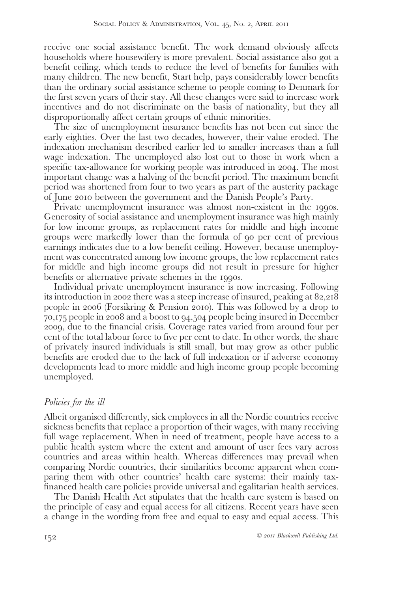receive one social assistance benefit. The work demand obviously affects households where housewifery is more prevalent. Social assistance also got a benefit ceiling, which tends to reduce the level of benefits for families with many children. The new benefit, Start help, pays considerably lower benefits than the ordinary social assistance scheme to people coming to Denmark for the first seven years of their stay. All these changes were said to increase work incentives and do not discriminate on the basis of nationality, but they all disproportionally affect certain groups of ethnic minorities.

The size of unemployment insurance benefits has not been cut since the early eighties. Over the last two decades, however, their value eroded. The indexation mechanism described earlier led to smaller increases than a full wage indexation. The unemployed also lost out to those in work when a specific tax-allowance for working people was introduced in 2004. The most important change was a halving of the benefit period. The maximum benefit period was shortened from four to two years as part of the austerity package of June 2010 between the government and the Danish People's Party.

Private unemployment insurance was almost non-existent in the 1990s. Generosity of social assistance and unemployment insurance was high mainly for low income groups, as replacement rates for middle and high income groups were markedly lower than the formula of 90 per cent of previous earnings indicates due to a low benefit ceiling. However, because unemployment was concentrated among low income groups, the low replacement rates for middle and high income groups did not result in pressure for higher benefits or alternative private schemes in the 1990s.

Individual private unemployment insurance is now increasing. Following its introduction in 2002 there was a steep increase of insured, peaking at 82,218 people in 2006 (Forsikring & Pension 2010). This was followed by a drop to 70,175 people in 2008 and a boost to 94,504 people being insured in December 2009, due to the financial crisis. Coverage rates varied from around four per cent of the total labour force to five per cent to date. In other words, the share of privately insured individuals is still small, but may grow as other public benefits are eroded due to the lack of full indexation or if adverse economy developments lead to more middle and high income group people becoming unemployed.

#### *Policies for the ill*

Albeit organised differently, sick employees in all the Nordic countries receive sickness benefits that replace a proportion of their wages, with many receiving full wage replacement. When in need of treatment, people have access to a public health system where the extent and amount of user fees vary across countries and areas within health. Whereas differences may prevail when comparing Nordic countries, their similarities become apparent when comparing them with other countries' health care systems: their mainly taxfinanced health care policies provide universal and egalitarian health services.

The Danish Health Act stipulates that the health care system is based on the principle of easy and equal access for all citizens. Recent years have seen a change in the wording from free and equal to easy and equal access. This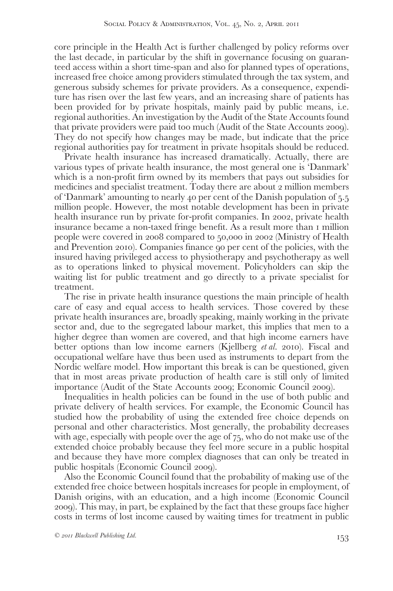core principle in the Health Act is further challenged by policy reforms over the last decade, in particular by the shift in governance focusing on guaranteed access within a short time-span and also for planned types of operations, increased free choice among providers stimulated through the tax system, and generous subsidy schemes for private providers. As a consequence, expenditure has risen over the last few years, and an increasing share of patients has been provided for by private hospitals, mainly paid by public means, i.e. regional authorities. An investigation by the Audit of the State Accounts found that private providers were paid too much (Audit of the State Accounts 2009). They do not specify how changes may be made, but indicate that the price regional authorities pay for treatment in private hsopitals should be reduced.

Private health insurance has increased dramatically. Actually, there are various types of private health insurance, the most general one is 'Danmark' which is a non-profit firm owned by its members that pays out subsidies for medicines and specialist treatment. Today there are about 2 million members of 'Danmark' amounting to nearly 40 per cent of the Danish population of 5.5 million people. However, the most notable development has been in private health insurance run by private for-profit companies. In 2002, private health insurance became a non-taxed fringe benefit. As a result more than 1 million people were covered in 2008 compared to 50,000 in 2002 (Ministry of Health and Prevention 2010). Companies finance 90 per cent of the policies, with the insured having privileged access to physiotherapy and psychotherapy as well as to operations linked to physical movement. Policyholders can skip the waiting list for public treatment and go directly to a private specialist for treatment.

The rise in private health insurance questions the main principle of health care of easy and equal access to health services. Those covered by these private health insurances are, broadly speaking, mainly working in the private sector and, due to the segregated labour market, this implies that men to a higher degree than women are covered, and that high income earners have better options than low income earners (Kjellberg *et al*. 2010). Fiscal and occupational welfare have thus been used as instruments to depart from the Nordic welfare model. How important this break is can be questioned, given that in most areas private production of health care is still only of limited importance (Audit of the State Accounts 2009; Economic Council 2009).

Inequalities in health policies can be found in the use of both public and private delivery of health services. For example, the Economic Council has studied how the probability of using the extended free choice depends on personal and other characteristics. Most generally, the probability decreases with age, especially with people over the age of 75, who do not make use of the extended choice probably because they feel more secure in a public hospital and because they have more complex diagnoses that can only be treated in public hospitals (Economic Council 2009).

Also the Economic Council found that the probability of making use of the extended free choice between hospitals increases for people in employment, of Danish origins, with an education, and a high income (Economic Council 2009). This may, in part, be explained by the fact that these groups face higher costs in terms of lost income caused by waiting times for treatment in public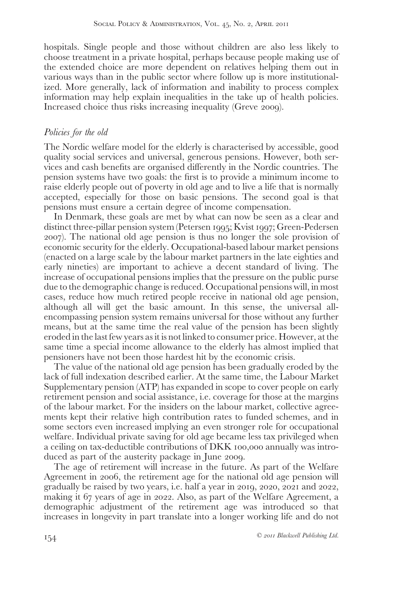hospitals. Single people and those without children are also less likely to choose treatment in a private hospital, perhaps because people making use of the extended choice are more dependent on relatives helping them out in various ways than in the public sector where follow up is more institutionalized. More generally, lack of information and inability to process complex information may help explain inequalities in the take up of health policies. Increased choice thus risks increasing inequality (Greve 2009).

#### *Policies for the old*

The Nordic welfare model for the elderly is characterised by accessible, good quality social services and universal, generous pensions. However, both services and cash benefits are organised differently in the Nordic countries. The pension systems have two goals: the first is to provide a minimum income to raise elderly people out of poverty in old age and to live a life that is normally accepted, especially for those on basic pensions. The second goal is that pensions must ensure a certain degree of income compensation.

In Denmark, these goals are met by what can now be seen as a clear and distinct three-pillar pension system (Petersen 1995; Kvist 1997; Green-Pedersen 2007). The national old age pension is thus no longer the sole provision of economic security for the elderly. Occupational-based labour market pensions (enacted on a large scale by the labour market partners in the late eighties and early nineties) are important to achieve a decent standard of living. The increase of occupational pensions implies that the pressure on the public purse due to the demographic change is reduced. Occupational pensions will, in most cases, reduce how much retired people receive in national old age pension, although all will get the basic amount. In this sense, the universal allencompassing pension system remains universal for those without any further means, but at the same time the real value of the pension has been slightly eroded in the last few years as it is not linked to consumer price. However, at the same time a special income allowance to the elderly has almost implied that pensioners have not been those hardest hit by the economic crisis.

The value of the national old age pension has been gradually eroded by the lack of full indexation described earlier. At the same time, the Labour Market Supplementary pension (ATP) has expanded in scope to cover people on early retirement pension and social assistance, i.e. coverage for those at the margins of the labour market. For the insiders on the labour market, collective agreements kept their relative high contribution rates to funded schemes, and in some sectors even increased implying an even stronger role for occupational welfare. Individual private saving for old age became less tax privileged when a ceiling on tax-deductible contributions of DKK 100,000 annually was introduced as part of the austerity package in June 2009.

The age of retirement will increase in the future. As part of the Welfare Agreement in 2006, the retirement age for the national old age pension will gradually be raised by two years, i.e. half a year in 2019, 2020, 2021 and 2022, making it 67 years of age in 2022. Also, as part of the Welfare Agreement, a demographic adjustment of the retirement age was introduced so that increases in longevity in part translate into a longer working life and do not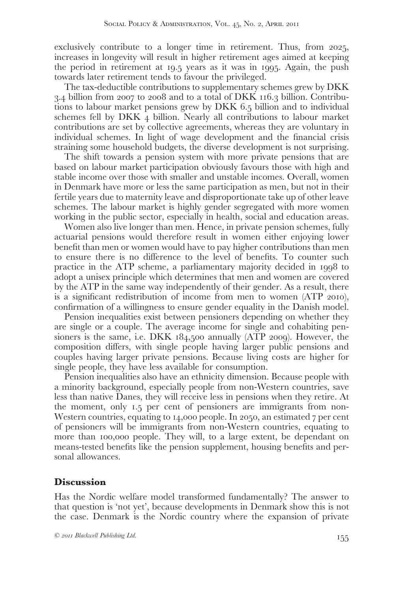exclusively contribute to a longer time in retirement. Thus, from 2025, increases in longevity will result in higher retirement ages aimed at keeping the period in retirement at 19.5 years as it was in 1995. Again, the push towards later retirement tends to favour the privileged.

The tax-deductible contributions to supplementary schemes grew by DKK 3.4 billion from 2007 to 2008 and to a total of DKK 116.3 billion. Contributions to labour market pensions grew by DKK 6.5 billion and to individual schemes fell by DKK 4 billion. Nearly all contributions to labour market contributions are set by collective agreements, whereas they are voluntary in individual schemes. In light of wage development and the financial crisis straining some household budgets, the diverse development is not surprising.

The shift towards a pension system with more private pensions that are based on labour market participation obviously favours those with high and stable income over those with smaller and unstable incomes. Overall, women in Denmark have more or less the same participation as men, but not in their fertile years due to maternity leave and disproportionate take up of other leave schemes. The labour market is highly gender segregated with more women working in the public sector, especially in health, social and education areas.

Women also live longer than men. Hence, in private pension schemes, fully actuarial pensions would therefore result in women either enjoying lower benefit than men or women would have to pay higher contributions than men to ensure there is no difference to the level of benefits. To counter such practice in the ATP scheme, a parliamentary majority decided in 1998 to adopt a unisex principle which determines that men and women are covered by the ATP in the same way independently of their gender. As a result, there is a significant redistribution of income from men to women (ATP 2010), confirmation of a willingness to ensure gender equality in the Danish model.

Pension inequalities exist between pensioners depending on whether they are single or a couple. The average income for single and cohabiting pensioners is the same, i.e. DKK 184,500 annually (ATP 2009). However, the composition differs, with single people having larger public pensions and couples having larger private pensions. Because living costs are higher for single people, they have less available for consumption.

Pension inequalities also have an ethnicity dimension. Because people with a minority background, especially people from non-Western countries, save less than native Danes, they will receive less in pensions when they retire. At the moment, only 1.5 per cent of pensioners are immigrants from non-Western countries, equating to 14,000 people. In 2050, an estimated 7 per cent of pensioners will be immigrants from non-Western countries, equating to more than 100,000 people. They will, to a large extent, be dependant on means-tested benefits like the pension supplement, housing benefits and personal allowances.

### **Discussion**

Has the Nordic welfare model transformed fundamentally? The answer to that question is 'not yet', because developments in Denmark show this is not the case. Denmark is the Nordic country where the expansion of private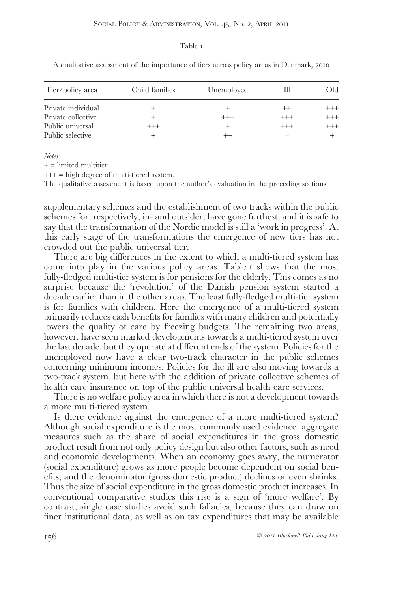#### Table 1

| Tier/policy area   | Child families | Unemployed | Ш        | Old      |
|--------------------|----------------|------------|----------|----------|
| Private individual |                |            | $^{++}$  | $^{+++}$ |
| Private collective |                | $^{+++}$   | $^{+++}$ | $^{+++}$ |
| Public universal   | $^{+++}$       |            | $^{+++}$ | $^{+++}$ |
| Public selective   |                | $^{++}$    |          |          |

A qualitative assessment of the importance of tiers across policy areas in Denmark, 2010

*Notes:*

 $+=$  limited multitier.

+++ = high degree of multi-tiered system.

The qualitative assessment is based upon the author's evaluation in the preceding sections.

supplementary schemes and the establishment of two tracks within the public schemes for, respectively, in- and outsider, have gone furthest, and it is safe to say that the transformation of the Nordic model is still a 'work in progress'. At this early stage of the transformations the emergence of new tiers has not crowded out the public universal tier.

There are big differences in the extent to which a multi-tiered system has come into play in the various policy areas. Table 1 shows that the most fully-fledged multi-tier system is for pensions for the elderly. This comes as no surprise because the 'revolution' of the Danish pension system started a decade earlier than in the other areas. The least fully-fledged multi-tier system is for families with children. Here the emergence of a multi-tiered system primarily reduces cash benefits for families with many children and potentially lowers the quality of care by freezing budgets. The remaining two areas, however, have seen marked developments towards a multi-tiered system over the last decade, but they operate at different ends of the system. Policies for the unemployed now have a clear two-track character in the public schemes concerning minimum incomes. Policies for the ill are also moving towards a two-track system, but here with the addition of private collective schemes of health care insurance on top of the public universal health care services.

There is no welfare policy area in which there is not a development towards a more multi-tiered system.

Is there evidence against the emergence of a more multi-tiered system? Although social expenditure is the most commonly used evidence, aggregate measures such as the share of social expenditures in the gross domestic product result from not only policy design but also other factors, such as need and economic developments. When an economy goes awry, the numerator (social expenditure) grows as more people become dependent on social benefits, and the denominator (gross domestic product) declines or even shrinks. Thus the size of social expenditure in the gross domestic product increases. In conventional comparative studies this rise is a sign of 'more welfare'. By contrast, single case studies avoid such fallacies, because they can draw on finer institutional data, as well as on tax expenditures that may be available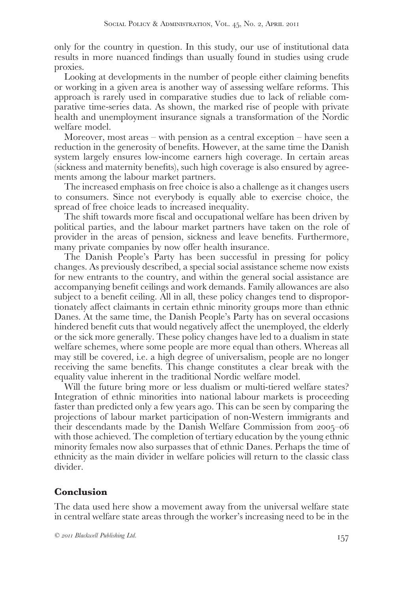only for the country in question. In this study, our use of institutional data results in more nuanced findings than usually found in studies using crude proxies.

Looking at developments in the number of people either claiming benefits or working in a given area is another way of assessing welfare reforms. This approach is rarely used in comparative studies due to lack of reliable comparative time-series data. As shown, the marked rise of people with private health and unemployment insurance signals a transformation of the Nordic welfare model.

Moreover, most areas – with pension as a central exception – have seen a reduction in the generosity of benefits. However, at the same time the Danish system largely ensures low-income earners high coverage. In certain areas (sickness and maternity benefits), such high coverage is also ensured by agreements among the labour market partners.

The increased emphasis on free choice is also a challenge as it changes users to consumers. Since not everybody is equally able to exercise choice, the spread of free choice leads to increased inequality.

The shift towards more fiscal and occupational welfare has been driven by political parties, and the labour market partners have taken on the role of provider in the areas of pension, sickness and leave benefits. Furthermore, many private companies by now offer health insurance.

The Danish People's Party has been successful in pressing for policy changes. As previously described, a special social assistance scheme now exists for new entrants to the country, and within the general social assistance are accompanying benefit ceilings and work demands. Family allowances are also subject to a benefit ceiling. All in all, these policy changes tend to disproportionately affect claimants in certain ethnic minority groups more than ethnic Danes. At the same time, the Danish People's Party has on several occasions hindered benefit cuts that would negatively affect the unemployed, the elderly or the sick more generally. These policy changes have led to a dualism in state welfare schemes, where some people are more equal than others. Whereas all may still be covered, i.e. a high degree of universalism, people are no longer receiving the same benefits. This change constitutes a clear break with the equality value inherent in the traditional Nordic welfare model.

Will the future bring more or less dualism or multi-tiered welfare states? Integration of ethnic minorities into national labour markets is proceeding faster than predicted only a few years ago. This can be seen by comparing the projections of labour market participation of non-Western immigrants and their descendants made by the Danish Welfare Commission from 2005–06 with those achieved. The completion of tertiary education by the young ethnic minority females now also surpasses that of ethnic Danes. Perhaps the time of ethnicity as the main divider in welfare policies will return to the classic class divider.

# **Conclusion**

The data used here show a movement away from the universal welfare state in central welfare state areas through the worker's increasing need to be in the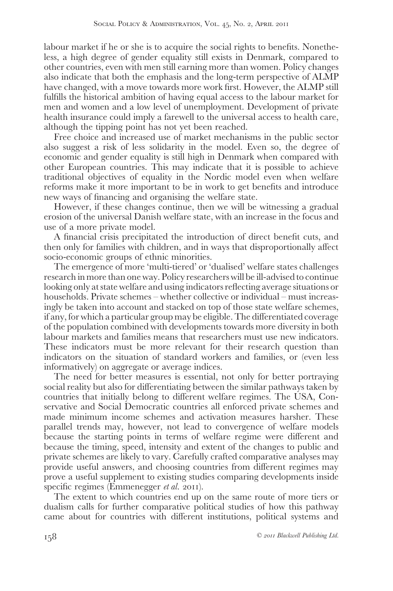labour market if he or she is to acquire the social rights to benefits. Nonetheless, a high degree of gender equality still exists in Denmark, compared to other countries, even with men still earning more than women. Policy changes also indicate that both the emphasis and the long-term perspective of ALMP have changed, with a move towards more work first. However, the ALMP still fulfills the historical ambition of having equal access to the labour market for men and women and a low level of unemployment. Development of private health insurance could imply a farewell to the universal access to health care, although the tipping point has not yet been reached.

Free choice and increased use of market mechanisms in the public sector also suggest a risk of less solidarity in the model. Even so, the degree of economic and gender equality is still high in Denmark when compared with other European countries. This may indicate that it is possible to achieve traditional objectives of equality in the Nordic model even when welfare reforms make it more important to be in work to get benefits and introduce new ways of financing and organising the welfare state.

However, if these changes continue, then we will be witnessing a gradual erosion of the universal Danish welfare state, with an increase in the focus and use of a more private model.

A financial crisis precipitated the introduction of direct benefit cuts, and then only for families with children, and in ways that disproportionally affect socio-economic groups of ethnic minorities.

The emergence of more 'multi-tiered' or 'dualised' welfare states challenges research in more than one way. Policy researchers will be ill-advised to continue looking only at state welfare and using indicators reflecting average situations or households. Private schemes – whether collective or individual – must increasingly be taken into account and stacked on top of those state welfare schemes, if any, for which a particular group may be eligible. The differentiated coverage of the population combined with developments towards more diversity in both labour markets and families means that researchers must use new indicators. These indicators must be more relevant for their research question than indicators on the situation of standard workers and families, or (even less informatively) on aggregate or average indices.

The need for better measures is essential, not only for better portraying social reality but also for differentiating between the similar pathways taken by countries that initially belong to different welfare regimes. The USA, Conservative and Social Democratic countries all enforced private schemes and made minimum income schemes and activation measures harsher. These parallel trends may, however, not lead to convergence of welfare models because the starting points in terms of welfare regime were different and because the timing, speed, intensity and extent of the changes to public and private schemes are likely to vary. Carefully crafted comparative analyses may provide useful answers, and choosing countries from different regimes may prove a useful supplement to existing studies comparing developments inside specific regimes (Emmenegger *et al*. 2011).

The extent to which countries end up on the same route of more tiers or dualism calls for further comparative political studies of how this pathway came about for countries with different institutions, political systems and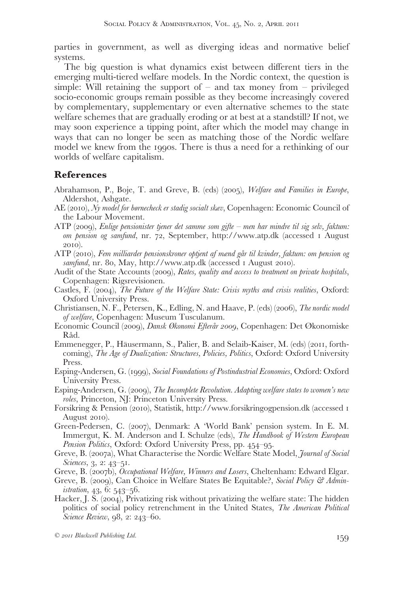parties in government, as well as diverging ideas and normative belief systems.

The big question is what dynamics exist between different tiers in the emerging multi-tiered welfare models. In the Nordic context, the question is simple: Will retaining the support of  $-$  and tax money from  $-$  privileged socio-economic groups remain possible as they become increasingly covered by complementary, supplementary or even alternative schemes to the state welfare schemes that are gradually eroding or at best at a standstill? If not, we may soon experience a tipping point, after which the model may change in ways that can no longer be seen as matching those of the Nordic welfare model we knew from the 1990s. There is thus a need for a rethinking of our worlds of welfare capitalism.

## **References**

- Abrahamson, P., Boje, T. and Greve, B. (eds) (2005), *Welfare and Families in Europe*, Aldershot, Ashgate.
- AE (2010), *Ny model for børnecheck er stadig socialt skæv*, Copenhagen: Economic Council of the Labour Movement.
- ATP (2009), *Enlige pensionister tjener det samme som gifte men har mindre til sig selv, faktum: om pension og samfund*, nr. 72, September, http://www.atp.dk (accessed 1 August 2010).
- ATP (2010), *Fem milliarder pensionskroner optjent af mænd går til kvinder, faktum: om pension og samfund*, nr. 80, May, http://www.atp.dk (accessed 1 August 2010).
- Audit of the State Accounts (2009), *Rates, quality and access to treatment on private hospitals*, Copenhagen: Rigsrevisionen.
- Castles, F. (2004), *The Future of the Welfare State: Crisis myths and crisis realities*, Oxford: Oxford University Press.
- Christiansen, N. F., Petersen, K., Edling, N. and Haave, P. (eds) (2006), *The nordic model of welfare*, Copenhagen: Museum Tusculanum.
- Economic Council (2009), *Dansk Økonomi Efterår 2009*, Copenhagen: Det Økonomiske Råd.
- Emmenegger, P., Häusermann, S., Palier, B. and Selaib-Kaiser, M. (eds) (2011, forthcoming), *The Age of Dualization: Structures, Policies, Politics*, Oxford: Oxford University Press.
- Esping-Andersen, G. (1999), *Social Foundations of Postindustrial Economies*, Oxford: Oxford University Press.
- Esping-Andersen, G. (2009), *The Incomplete Revolution. Adapting welfare states to women's new roles*, Princeton, NJ: Princeton University Press.
- Forsikring & Pension (2010), Statistik, http://www.forsikringogpension.dk (accessed 1 August 2010).
- Green-Pedersen, C. (2007), Denmark: A 'World Bank' pension system. In E. M. Immergut, K. M. Anderson and I. Schulze (eds), *The Handbook of Western European Pension Politics*, Oxford: Oxford University Press, pp. 454–95.
- Greve, B. (2007a), What Characterise the Nordic Welfare State Model, *Journal of Social Sciences*, 3, 2: 43–51.
- Greve, B. (2007b), *Occupational Welfare, Winners and Losers*, Cheltenham: Edward Elgar.
- Greve, B. (2009), Can Choice in Welfare States Be Equitable?, *Social Policy & Administration*, 43, 6: 543–56.
- Hacker, J. S. (2004), Privatizing risk without privatizing the welfare state: The hidden politics of social policy retrenchment in the United States, *The American Political Science Review*, 98, 2: 243–60.

*© 2011 Blackwell Publishing Ltd.* 159